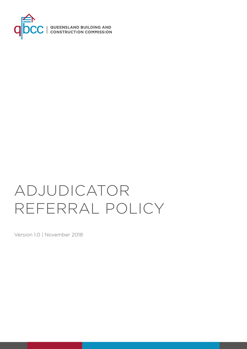

# ADJUDICATOR REFERRAL POLICY

Version 1.0 | November 2018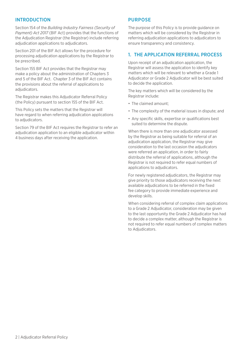#### INTRODUCTION

Section 154 of the *Building Industry Fairness (Security of Payment) Act 2017* (BIF Act) provides that the functions of the Adjudication Registrar (the Registrar) include referring adjudication applications to adjudicators.

Section 201 of the BIF Act allows for the procedure for processing adjudication applications by the Registrar to be prescribed.

Section 155 BIF Act provides that the Registrar may make a policy about the administration of Chapters 3 and 5 of the BIF Act. Chapter 3 of the BIF Act contains the provisions about the referral of applications to adjudicators.

The Registrar makes this Adjudicator Referral Policy (the Policy) pursuant to section 155 of the BIF Act.

This Policy sets the matters that the Registrar will have regard to when referring adjudication applications to adjudicators.

Section 79 of the BIF Act requires the Registrar to refer an adjudication application to an eligible adjudicator within 4 business days after receiving the application.

#### PURPOSE

The purpose of this Policy is to provide guidance on matters which will be considered by the Registrar in referring adjudication applications to adjudicators to ensure transparency and consistency.

#### 1. THE APPLICATION REFERRAL PROCESS

Upon receipt of an adjudication application, the Registrar will assess the application to identify key matters which will be relevant to whether a Grade 1 Adjudicator or Grade 2 Adjudicator will be best suited to decide the application.

The key matters which will be considered by the Registrar include:

- The claimed amount;
- The complexity of the material issues in dispute; and
- Any specific skills, expertise or qualifications best suited to determine the dispute.

When there is more than one adjudicator assessed by the Registrar as being suitable for referral of an adjudication application, the Registrar may give consideration to the last occasion the adjudicators were referred an application, in order to fairly distribute the referral of applications, although the Registrar is not required to refer equal numbers of applications to adjudicators.

For newly registered adjudicators, the Registrar may give priority to those adjudicators receiving the next available adjudications to be referred in the fixed fee category to provide immediate experience and develop skills.

When considering referral of complex claim applications to a Grade 2 Adjudicator, consideration may be given to the last opportunity the Grade 2 Adjudicator has had to decide a complex matter, although the Registrar is not required to refer equal numbers of complex matters to Adjudicators.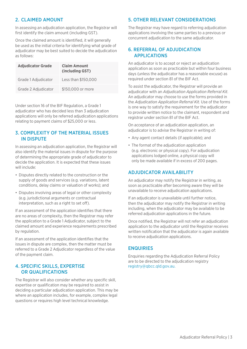## 2. CLAIMED AMOUNT

In assessing an adjudication application, the Registrar will first identify the claim amount (including GST).

Once the claimed amount is identified, it will generally be used as the initial criteria for identifying what grade of adjudicator may be best suited to decide the adjudication as follows:

| <b>Adjudicator Grade</b> | <b>Claim Amount</b><br>(including GST) |
|--------------------------|----------------------------------------|
| Grade 1 Adjudicator      | Less than \$150,000                    |
| Grade 2 Adjudicator      | \$150,000 or more                      |

Under section 16 of the BIF Regulation, a Grade 1 adjudicator who has decided less than 3 adjudication applications will only be referred adjudication applications relating to payment claims of \$25,000 or less.

#### 3. COMPLEXITY OF THE MATERIAL ISSUES IN DISPUTE

In assessing an adjudication application, the Registrar will also identify the material issues in dispute for the purpose of determining the appropriate grade of adjudicator to decide the application. It is expected that these issues will include:

- Disputes directly related to the construction or the supply of goods and services (e.g. variations, latent conditions, delay claims or valuation of works); and
- Disputes involving areas of legal or other complexity (e.g. jurisdictional arguments or contractual interpretation, such as a right to set off).

If an assessment of the application identifies that there are no areas of complexity, then the Registrar may refer the application to a Grade 1 Adjudicator, subject to the claimed amount and experience requirements prescribed by regulation.

If an assessment of the application identifies that the issues in dispute are complex, then the matter must be referred to a Grade 2 Adjudicator regardless of the value of the payment claim.

## 4. SPECIFIC SKILLS, EXPERTISE OR QUALIFICATIONS

The Registrar will also consider whether any specific skill, expertise or qualification may be required to assist in deciding a particular adjudication application. This may be where an application includes, for example, complex legal questions or requires high level technical knowledge.

#### 5. OTHER RELEVANT CONSIDERATIONS

The Registrar may have regard to referring adjudication applications involving the same parties to a previous or concurrent adjudication to the same adjudicator.

## 6. REFERRAL OF ADJUDICATION APPLICATIONS

An adjudicator is to accept or reject an adjudication application as soon as practicable but within four business days (unless the adjudicator has a reasonable excuse) as required under section 81 of the BIF Act.

To assist the adjudicator, the Registrar will provide an adjudicator with an *Adjudication Application Referral Kit*. An adjudicator may choose to use the forms provided in the *Adjudication Application Referral Kit.* Use of the forms is one way to satisfy the requirement for the adjudicator to provide written notice to the claimant, respondent and registrar under section 81 of the BIF Act.

On acceptance of an adjudication application, an adjudicator is to advise the Registrar in writing of:

- Any agent contact details (if applicable); and
- The format of the adjudication application (e.g. electronic or physical copy). For adjudication applications lodged online, a physical copy will only be made available if in excess of 200 pages.

# ADJUDICATOR AVAILABILITY

An adjudicator may notify the Registrar in writing, as soon as practicable after becoming aware they will be unavailable to receive adjudication applications.

If an adjudicator is unavailable until further notice, then the adjudicator may notify the Registrar in writing including, when the adjudicator may be available to be referred adjudication applications in the future.

Once notified, the Registrar will not refer an adjudication application to the adjudicator until the Registrar receives written notification that the adjudicator is again available to receive adjudication applications.

## **ENQUIRIES**

Enquiries regarding the Adjudication Referral Policy are to be directed to the adjudication registry [registry@qbcc.qld.gov.au.](mailto:adjudication.registry@qbcc.qld.gov.au)